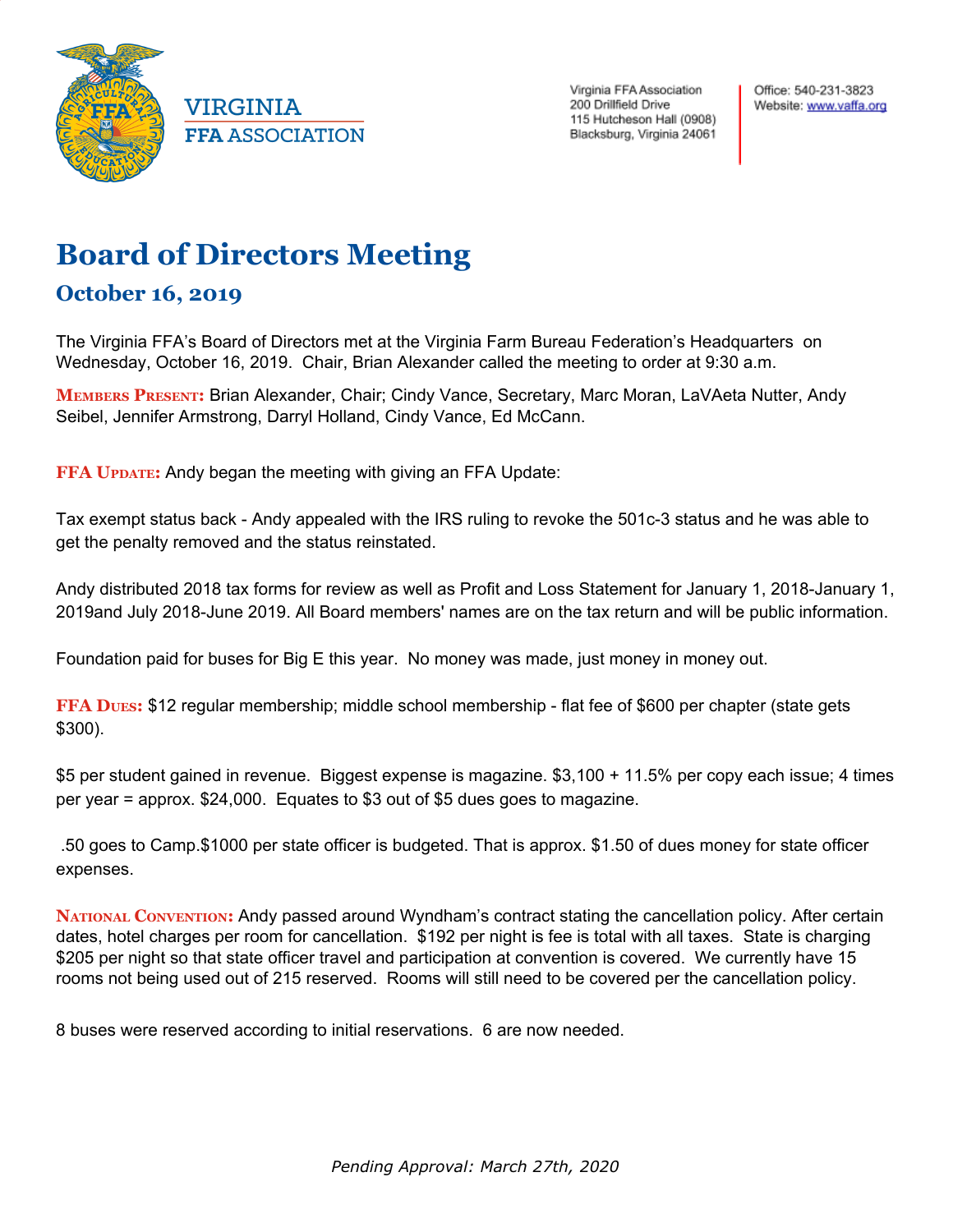

VIRGINIA **FFA ASSOCIATION**  Virginia FFA Association 200 Drillfield Drive 115 Hutcheson Hall (0908) Blacksburg, Virginia 24061 Office: 540-231-3823 Website: www.vaffa.org

## **Board of Directors Meeting**

## **October 16, 2019**

The Virginia FFA's Board of Directors met at the Virginia Farm Bureau Federation's Headquarters on Wednesday, October 16, 2019. Chair, Brian Alexander called the meeting to order at 9:30 a.m.

**MEMBERS PRESENT:** Brian Alexander, Chair; Cindy Vance, Secretary, Marc Moran, LaVAeta Nutter, Andy Seibel, Jennifer Armstrong, Darryl Holland, Cindy Vance, Ed McCann.

**FFA UPDATE:** Andy began the meeting with giving an FFA Update:

Tax exempt status back - Andy appealed with the IRS ruling to revoke the 501c-3 status and he was able to get the penalty removed and the status reinstated.

Andy distributed 2018 tax forms for review as well as Profit and Loss Statement for January 1, 2018-January 1, 2019and July 2018-June 2019. All Board members' names are on the tax return and will be public information.

Foundation paid for buses for Big E this year. No money was made, just money in money out.

**FFA** Dues: \$12 regular membership; middle school membership - flat fee of \$600 per chapter (state gets \$300).

\$5 per student gained in revenue. Biggest expense is magazine. \$3,100 + 11.5% per copy each issue; 4 times per year = approx. \$24,000. Equates to \$3 out of \$5 dues goes to magazine.

.50 goes to Camp.\$1000 per state officer is budgeted. That is approx. \$1.50 of dues money for state officer expenses.

**NATIONAL CONVENTION:** Andy passed around Wyndham's contract stating the cancellation policy. After certain dates, hotel charges per room for cancellation. \$192 per night is fee is total with all taxes. State is charging \$205 per night so that state officer travel and participation at convention is covered. We currently have 15 rooms not being used out of 215 reserved. Rooms will still need to be covered per the cancellation policy.

8 buses were reserved according to initial reservations. 6 are now needed.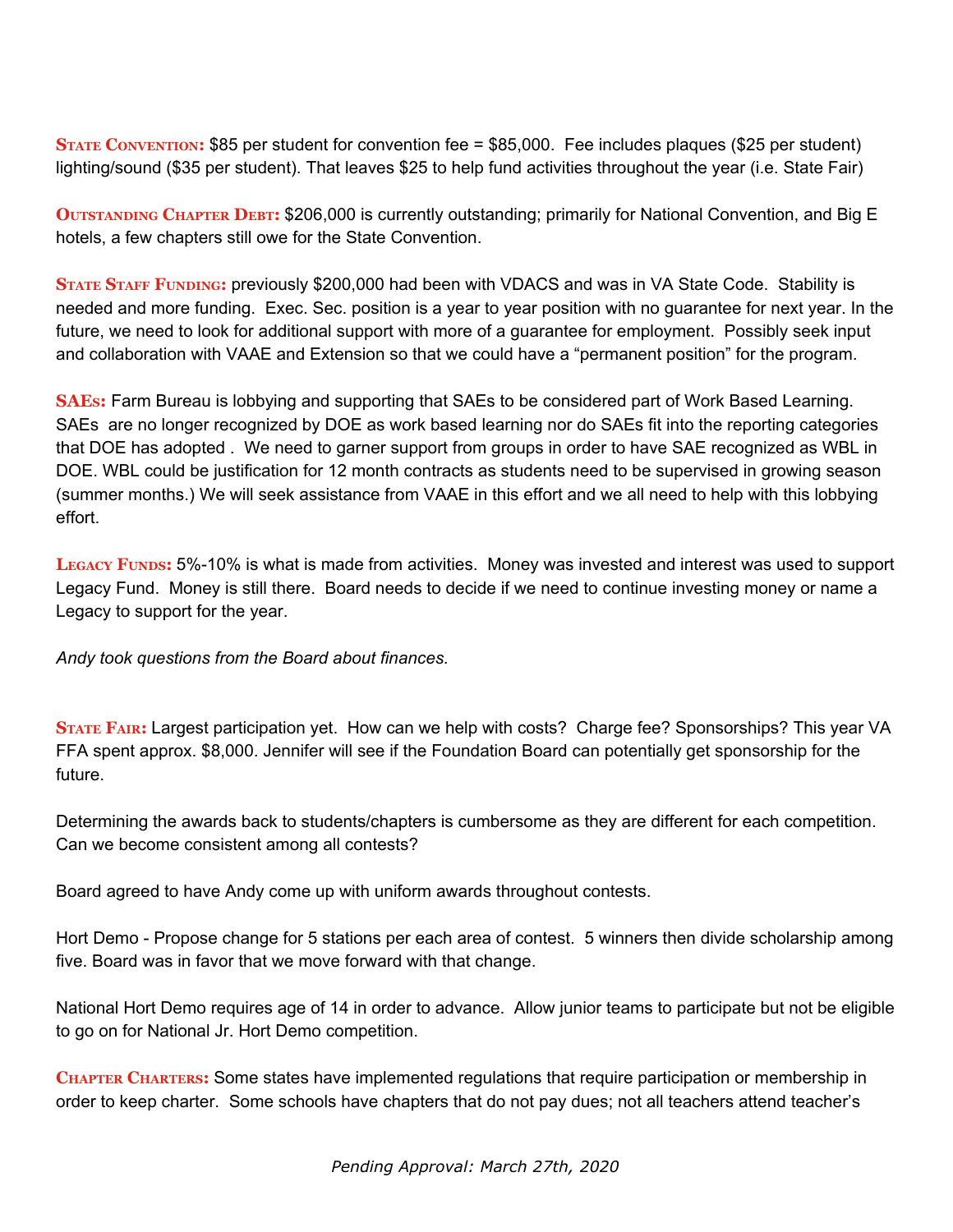**STATE CONVENTION:** \$85 per student for convention fee = \$85,000. Fee includes plaques (\$25 per student) lighting/sound (\$35 per student). That leaves \$25 to help fund activities throughout the year (i.e. State Fair)

**OUTSTANDING CHAPTER DEBT: \$206,000 is currently outstanding; primarily for National Convention, and Big E** hotels, a few chapters still owe for the State Convention.

**STATE STAFF FUNDING:** previously \$200,000 had been with VDACS and was in VA State Code. Stability is needed and more funding. Exec. Sec. position is a year to year position with no guarantee for next year. In the future, we need to look for additional support with more of a guarantee for employment. Possibly seek input and collaboration with VAAE and Extension so that we could have a "permanent position" for the program.

**SAES:** Farm Bureau is lobbying and supporting that SAEs to be considered part of Work Based Learning. SAEs are no longer recognized by DOE as work based learning nor do SAEs fit into the reporting categories that DOE has adopted . We need to garner support from groups in order to have SAE recognized as WBL in DOE. WBL could be justification for 12 month contracts as students need to be supervised in growing season (summer months.) We will seek assistance from VAAE in this effort and we all need to help with this lobbying effort.

**LEGACY FUNDS:** 5%-10% is what is made from activities. Money was invested and interest was used to support Legacy Fund. Money is still there. Board needs to decide if we need to continue investing money or name a Legacy to support for the year.

*Andy took questions from the Board about finances.*

**STATE FAIR:** Largest participation yet. How can we help with costs? Charge fee? Sponsorships? This year VA FFA spent approx. \$8,000. Jennifer will see if the Foundation Board can potentially get sponsorship for the future.

Determining the awards back to students/chapters is cumbersome as they are different for each competition. Can we become consistent among all contests?

Board agreed to have Andy come up with uniform awards throughout contests.

Hort Demo - Propose change for 5 stations per each area of contest. 5 winners then divide scholarship among five. Board was in favor that we move forward with that change.

National Hort Demo requires age of 14 in order to advance. Allow junior teams to participate but not be eligible to go on for National Jr. Hort Demo competition.

**CHAPTER CHARTERS:** Some states have implemented regulations that require participation or membership in order to keep charter. Some schools have chapters that do not pay dues; not all teachers attend teacher's